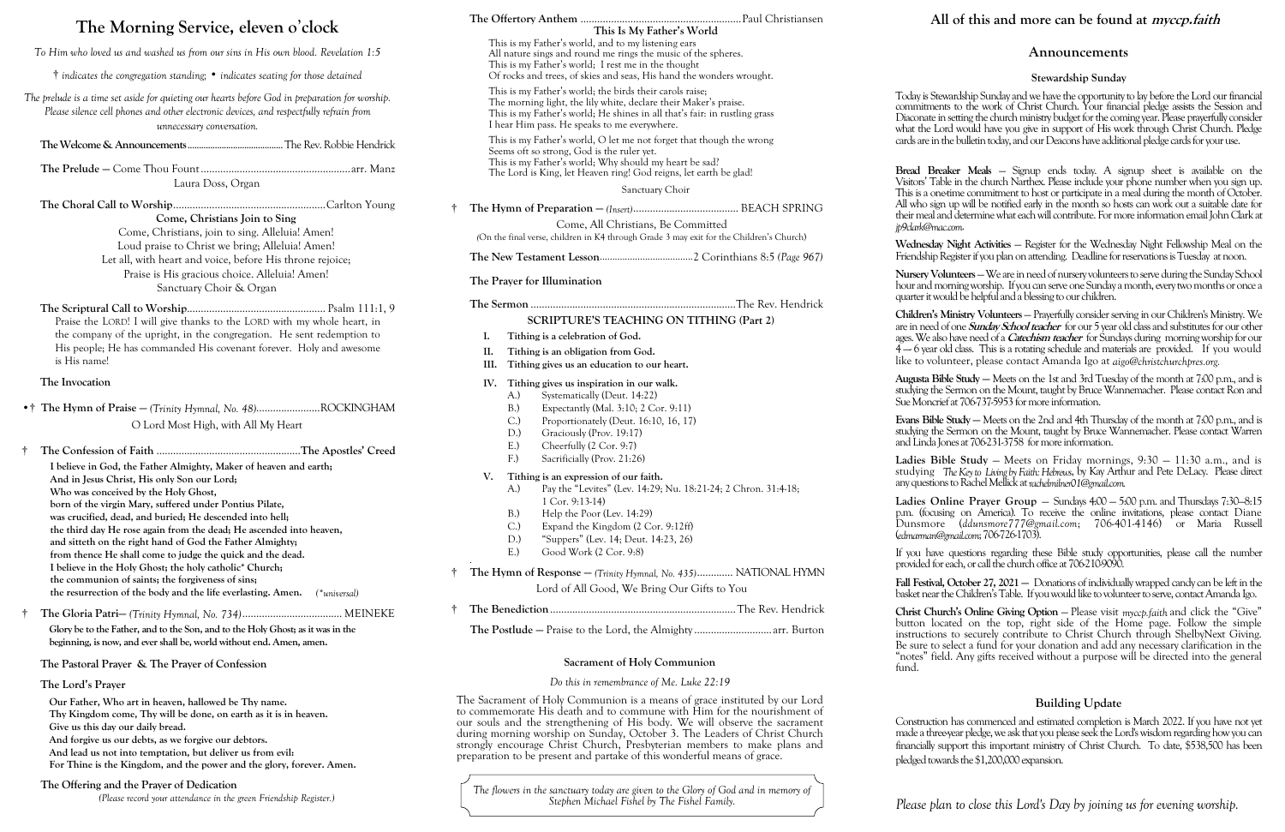- **the resurrection of the body and the life everlasting. Amen.** *(\*universal)*
- † **The Gloria Patri—** *(Trinity Hymnal, No. 734)*.................................... MEINEKE

**Glory be to the Father, and to the Son, and to the Holy Ghost; as it was in the beginning, is now, and ever shall be, world without end. Amen, amen.**

| The Morning Service, eleven o'clock                                                                                                                                                                                                                                                                                                                                                                                                                                               | This Is My Father's World                                                                                                                                                                                                                                                                                                                                                                                |  |
|-----------------------------------------------------------------------------------------------------------------------------------------------------------------------------------------------------------------------------------------------------------------------------------------------------------------------------------------------------------------------------------------------------------------------------------------------------------------------------------|----------------------------------------------------------------------------------------------------------------------------------------------------------------------------------------------------------------------------------------------------------------------------------------------------------------------------------------------------------------------------------------------------------|--|
| To Him who loved us and washed us from our sins in His own blood. Revelation 1:5                                                                                                                                                                                                                                                                                                                                                                                                  | This is my Father's world, and to my listening ears<br>All nature sings and round me rings the music of the spheres.<br>This is my Father's world; I rest me in the thought                                                                                                                                                                                                                              |  |
| $\dagger$ indicates the congregation standing; $\bullet$ indicates seating for those detained                                                                                                                                                                                                                                                                                                                                                                                     | Of rocks and trees, of skies and seas, His hand the wonders wrought.                                                                                                                                                                                                                                                                                                                                     |  |
| The prelude is a time set aside for quieting our hearts before God in preparation for worship.<br>Please silence cell phones and other electronic devices, and respectfully refrain from<br>unnecessary conversation.                                                                                                                                                                                                                                                             | This is my Father's world; the birds their carols raise;<br>The morning light, the lily white, declare their Maker's praise.<br>This is my Father's world; He shines in all that's fair: in rustling grass<br>I hear Him pass. He speaks to me everywhere.                                                                                                                                               |  |
|                                                                                                                                                                                                                                                                                                                                                                                                                                                                                   | This is my Father's world, O let me not forget that though the wrong<br>Seems oft so strong, God is the ruler yet.<br>This is my Father's world; Why should my heart be sad?<br>The Lord is King, let Heaven ring! God reigns, let earth be glad!<br>Sanctuary Choir                                                                                                                                     |  |
| Laura Doss, Organ                                                                                                                                                                                                                                                                                                                                                                                                                                                                 |                                                                                                                                                                                                                                                                                                                                                                                                          |  |
| Come, Christians Join to Sing<br>Come, Christians, join to sing. Alleluia! Amen!<br>Loud praise to Christ we bring; Alleluia! Amen!<br>Let all, with heart and voice, before His throne rejoice;<br>Praise is His gracious choice. Alleluia! Amen!<br>Sanctuary Choir & Organ                                                                                                                                                                                                     | Come, All Christians, Be Committed<br>(On the final verse, children in K4 through Grade 3 may exit for the Children's Church)<br>The Prayer for Illumination                                                                                                                                                                                                                                             |  |
| Praise the LORD! I will give thanks to the LORD with my whole heart, in<br>the company of the upright, in the congregation. He sent redemption to<br>His people; He has commanded His covenant forever. Holy and awesome<br>is His name!                                                                                                                                                                                                                                          | <b>SCRIPTURE'S TEACHING ON TITHING (Part 2)</b><br>Tithing is a celebration of God.<br>I.<br>Π.<br>Tithing is an obligation from God.<br>Tithing gives us an education to our heart.<br>Ш.                                                                                                                                                                                                               |  |
| The Invocation                                                                                                                                                                                                                                                                                                                                                                                                                                                                    | IV.<br>Tithing gives us inspiration in our walk.<br>Systematically (Deut. 14:22)<br>A.)                                                                                                                                                                                                                                                                                                                  |  |
| •† The Hymn of Praise - (Trinity Hymnal, No. 48)ROCKINGHAM<br>O Lord Most High, with All My Heart                                                                                                                                                                                                                                                                                                                                                                                 | $B.$ )<br>Expectantly (Mal. 3:10; 2 Cor. 9:11)<br>C.<br>Proportionately (Deut. 16:10, 16, 17)<br>Graciously (Prov. 19:17)<br>D.)                                                                                                                                                                                                                                                                         |  |
| I believe in God, the Father Almighty, Maker of heaven and earth;<br>And in Jesus Christ, His only Son our Lord;<br>Who was conceived by the Holy Ghost,<br>born of the virgin Mary, suffered under Pontius Pilate,<br>was crucified, dead, and buried; He descended into hell;<br>the third day He rose again from the dead; He ascended into heaven,<br>and sitteth on the right hand of God the Father Almighty;<br>from thence He shall come to judge the quick and the dead. | Cheerfully (2 Cor. 9:7)<br>$E$ .)<br>F <sub>1</sub><br>Sacrificially (Prov. 21:26)<br>V.<br>Tithing is an expression of our faith.<br>Pay the "Levites" (Lev. 14:29; Nu. 18:21-24; 2 Chron. 31:4-18;<br>A.)<br>$1$ Cor. 9:13-14)<br>B.)<br>Help the Poor (Lev. 14:29)<br>$C$ .)<br>Expand the Kingdom (2 Cor. 9:12ff)<br>"Suppers" (Lev. 14; Deut. 14:23, 26)<br>D.)<br>$E$ .)<br>Good Work (2 Cor. 9:8) |  |
| I believe in the Holy Ghost; the holy catholic* Church;<br>the communion of saints; the forgiveness of sins;                                                                                                                                                                                                                                                                                                                                                                      | The Hymn of Response - (Trinity Hymnal, No. 435) NATIONAL HYMN<br>Ť                                                                                                                                                                                                                                                                                                                                      |  |

# **The Pastoral Prayer & The Prayer of Confession The Lord's Prayer**

**Our Father, Who art in heaven, hallowed be Thy name. Thy Kingdom come, Thy will be done, on earth as it is in heaven. Give us this day our daily bread. And forgive us our debts, as we forgive our debtors. And lead us not into temptation, but deliver us from evil:**

- $(9.8)$
- † **The Hymn of Response —** *(Trinity Hymnal, No. 435)*............. NATIONAL HYMN Lord of All Good, We Bring Our Gifts to You
- † **The Benediction**...................................................................The Rev. Hendrick
	- **The Postlude —** Praise to the Lord, the Almighty............................arr. Burton

**For Thine is the Kingdom, and the power and the glory, forever. Amen.**

# **The Offering and the Prayer of Dedication**

*(Please record your attendance in the green Friendship Register.)*

Fall Festival, October 27, 2021 – Donations of individually wrapped candy can be left in the basket near the Children's Table. If you would like to volunteer to serve, contact Amanda Igo.

| Sacrificially (Prov. 21:26)<br>F.                                     |  |
|-----------------------------------------------------------------------|--|
|                                                                       |  |
| V.<br>Tithing is an expression of our faith.                          |  |
| Pay the "Levites" (Lev. 14:29; Nu. 18:21-24; 2 Chron. 31:4-18;<br>A.) |  |
| $1$ Cor. 9:13-14)                                                     |  |
| Help the Poor (Lev. 14:29)<br>B.)                                     |  |
| Expand the Kingdom (2 Cor. 9:12ff)<br>C.                              |  |
| "Suppers" (Lev. 14; Deut. 14:23, 26)<br>D.)                           |  |

*Please plan to close this Lord's Day by joining us for evening worship.*

### **Announcements**

#### **Stewardship Sunday**

Today is Stewardship Sunday and we have the opportunity to lay before the Lord our financial commitments to the work of Christ Church. Your financial pledge assists the Session and Diaconate in setting the church ministry budget for the coming year. Please prayerfully consider what the Lord would have you give in support of His work through Christ Church. Pledge cards are in the bulletin today, and our Deacons have additional pledge cards for your use.

**Bread Breaker Meals** — Signup ends today. A signup sheet is available on the Visitors' Table in the church Narthex. Please include your phone number when you sign up. This is a one-time commitment to host or participate in a meal during the month of October. All who sign up will be notified early in the month so hosts can work out a suitable date for their meal and determine what each will contribute. For more information email John Clark at

*jp9clark@mac.com*.

**Wednesday Night Activities** — Register for the Wednesday Night Fellowship Meal on the Friendship Register if you plan on attending. Deadline for reservations is Tuesday at noon.

**Nursery Volunteers** —We are in need of nursery volunteers to serve during the Sunday School hour and morning worship. If you can serve one Sunday a month, every two months or once a quarter it would be helpful and a blessing to our children.

**Children's Ministry Volunteers** — Prayerfully consider serving in our Children's Ministry. We are in need of one **Sunday School teacher** for our 5 year old class and substitutes for our other ages.We also have need of a **Catechism teacher** for Sundays during morning worship for our 4 —- 6 year old class. This is a rotating schedule and materials are provided. If you would like to volunteer, please contact Amanda Igo at *aigo@christchurchpres.org.*

**Augusta Bible Study —** Meets on the 1st and 3rd Tuesday of the month at 7:00 p.m., and is studying the Sermon on the Mount, taught by Bruce Wannemacher. Please contact Ron and Sue Moncrief at 706-737-5953 for more information.

**Evans Bible Study —** Meets on the 2nd and 4th Thursday of the month at 7:00 p.m., and is studying the Sermon on the Mount, taught by Bruce Wannemacher. Please contact Warren and Linda Jones at 706-231-3758 for more information.

**Ladies Bible Study** — Meets on Friday mornings, 9:30 — 11:30 a.m., and is studying *The Key to Living by Faith: Hebrews*, by Kay Arthur and Pete DeLacy. Please direct any questions to Rachel Mellick at *rachelmilner01@gmail.com.*

**Ladies Online Prayer Group** — Sundays 4:00 — 5:00 p.m. and Thursdays 7:30—8:15 p.m. (focusing on America). To receive the online invitations, please contact Diane Dunsmore (*ddunsmore* 777@gmail.com; 706-401-4146) or Maria Russell (*edmarman@gmail.com*; 706-726-1703).

If you have questions regarding these Bible study opportunities, please call the number provided for each, or call the church office at 706-210-9090.

**Christ Church's Online Giving Option** — Please visit *myccp.faith* and click the "Give" button located on the top, right side of the Home page. Follow the simple instructions to securely contribute to Christ Church through ShelbyNext Giving. Be sure to select a fund for your donation and add any necessary clarification in the "notes" field. Any gifts received without a purpose will be directed into the general fund.

### **Building Update**

Construction has commenced and estimated completion is March 2022. If you have not yet made a three-year pledge, we ask that you please seek the Lord's wisdom regarding how you can financially support this important ministry of Christ Church. To date, \$538,500 has been pledged towards the \$1,200,000 expansion.

# **All of this and more can be found at myccp.faith**

*The flowers in the sanctuary today are given to the Glory of God and in memory of Stephen Michael Fishel by The Fishel Family.*

### **Sacrament of Holy Communion**

### *Do this in remembrance of Me. Luke 22:19*

The Sacrament of Holy Communion is a means of grace instituted by our Lord to commemorate His death and to commune with Him for the nourishment of our souls and the strengthening of His body. We will observe the sacrament during morning worship on Sunday, October 3. The Leaders of Christ Church strongly encourage Christ Church, Presbyterian members to make plans and preparation to be present and partake of this wonderful means of grace.